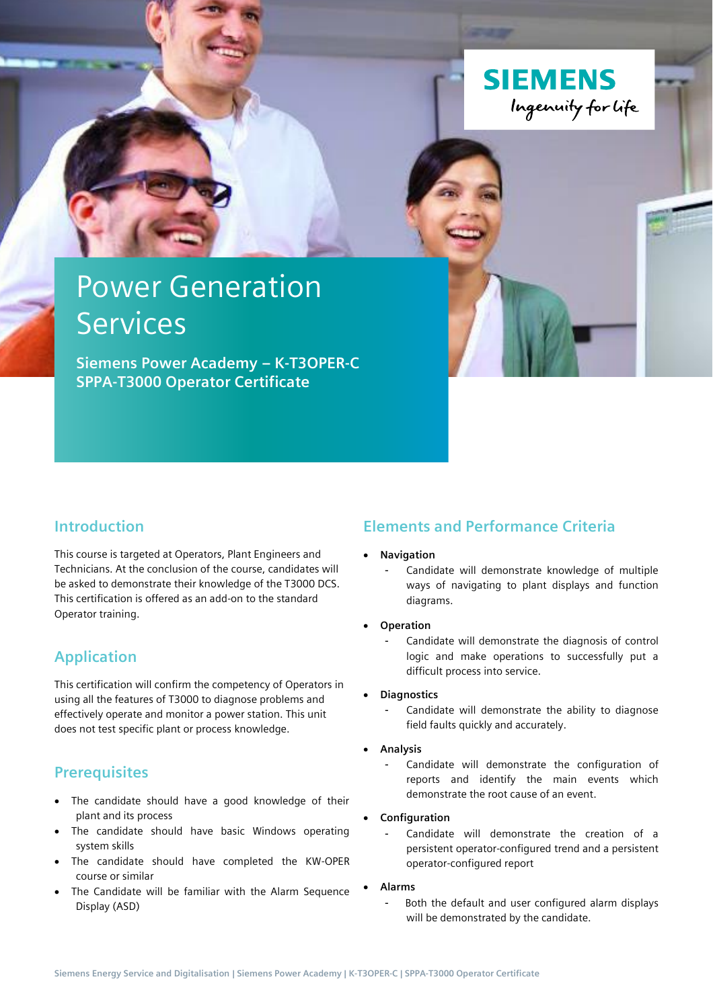

# Power Generation Services

**Siemens Power Academy – K-T3OPER-C SPPA-T3000 Operator Certificate**

## **Introduction**

This course is targeted at Operators, Plant Engineers and Technicians. At the conclusion of the course, candidates will be asked to demonstrate their knowledge of the T3000 DCS. This certification is offered as an add-on to the standard Operator training.

## **Application**

This certification will confirm the competency of Operators in using all the features of T3000 to diagnose problems and effectively operate and monitor a power station. This unit does not test specific plant or process knowledge.

## **Prerequisites**

- The candidate should have a good knowledge of their plant and its process
- The candidate should have basic Windows operating system skills
- The candidate should have completed the KW-OPER course or similar
- The Candidate will be familiar with the Alarm Sequence Display (ASD)

## **Elements and Performance Criteria**

- **Navigation**
	- Candidate will demonstrate knowledge of multiple ways of navigating to plant displays and function diagrams.
- **Operation**
	- Candidate will demonstrate the diagnosis of control logic and make operations to successfully put a difficult process into service.

#### • **Diagnostics**

- Candidate will demonstrate the ability to diagnose field faults quickly and accurately.
- **Analysis**
	- Candidate will demonstrate the configuration of reports and identify the main events which demonstrate the root cause of an event.

#### • **Configuration**

- Candidate will demonstrate the creation of a persistent operator-configured trend and a persistent operator-configured report
- **Alarms**
	- Both the default and user configured alarm displays will be demonstrated by the candidate.